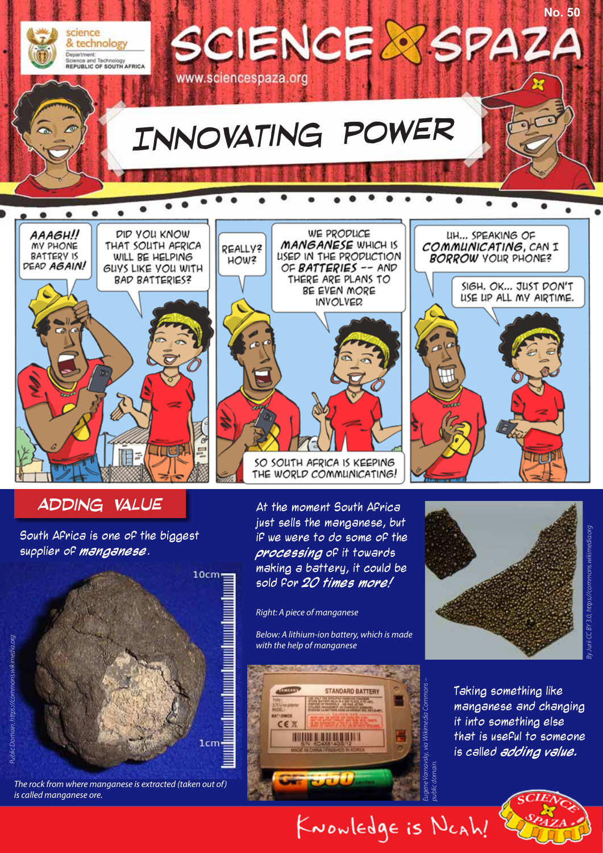

## **ADDING VALUE** At the moment South Africa

South Africa is one of the biggest supplier of **manganese**.

**TEP.** 



*The rock from where manganese is extracted (taken out of) is called manganese ore.*

just sells the manganese, but if we were to do some of the **processing** of it towards making a battery, it could be sold for **20 times more!**

SO SOUTH AFRICA IS KEEPING THE WORLD COMMUNICATING!

*Right: A piece of manganese*

*Below: A lithium-ion battery, which is made with the help of manganese*





Taking something like manganese and changing it into something else that is useful to someone is called **adding value.** 



*public domain.*

KNOWledge is NCAh!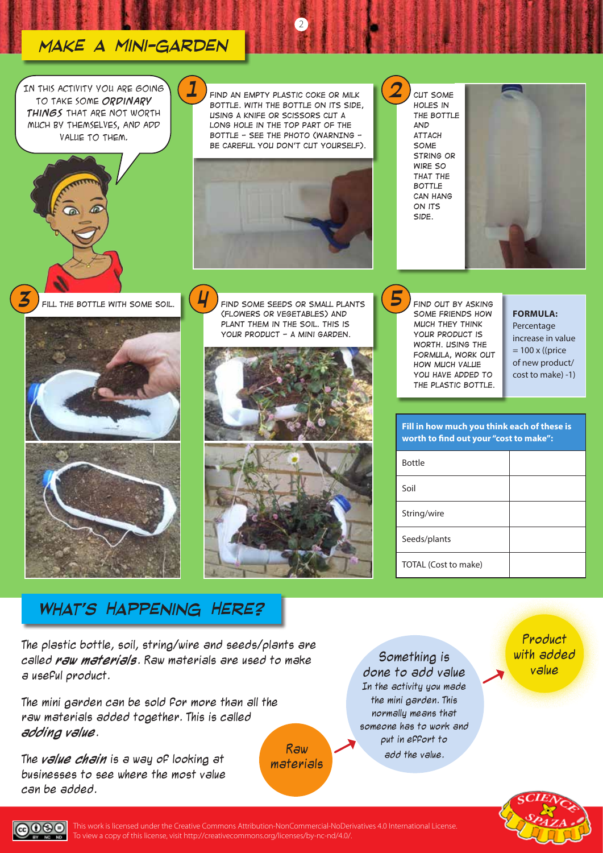# *Make a mini-garden*

*1*

*4*

In this activity you are going to take some **ordinary things** that are not worth much by themselves, and add value to them.

*Find an empty plastic coke or milk bottle. With the bottle on its side, using a knife or scissors cut a*  LONG HOLE IN THE TOP PART OF THE *bottle - see the photo (WARNING be careful you don't cut yourself).*

2





*3 Fill the bottle with some soil. Find some seeds or small plants (flowers or vegetables) and plant them in the soil. This is your product - a mini garden.*



*Cut some holes in the bottle and attach some string or wire so that the bottle can hang on its side.*

*2*

*5*



*Find out by asking some friends how much they think your product is worth. Using the formula, work out how much value you have added to the plastic bottle.*

**FORMULA:**

Percentage increase in value  $= 100 \times ($ (price of new product/ cost to make) -1)

# **Fill in how much you think each of these is worth to find out your "cost to make":**

| <b>Bottle</b>        |  |
|----------------------|--|
| Soil                 |  |
| String/wire          |  |
| Seeds/plants         |  |
| TOTAL (Cost to make) |  |

# *What's Happening Here?*

The plastic bottle, soil, string/wire and seeds/plants are called **raw materials**. Raw materials are used to make a useful product.

The mini garden can be sold for more than all the raw materials added together. This is called **adding value**.

The **value chain** is a way of looking at businesses to see where the most value can be added.

Raw materials

Something is done to add value In the activity you made the mini garden. This normally means that someone has to work and put in effort to add the value.

Product with added value





This work is licensed under the Creative Commons Attribution-NonCommercial-NoDerivatives 4.0 International License. To view a copy of this license, visit http://creativecommons.org/licenses/by-nc-nd/4.0/.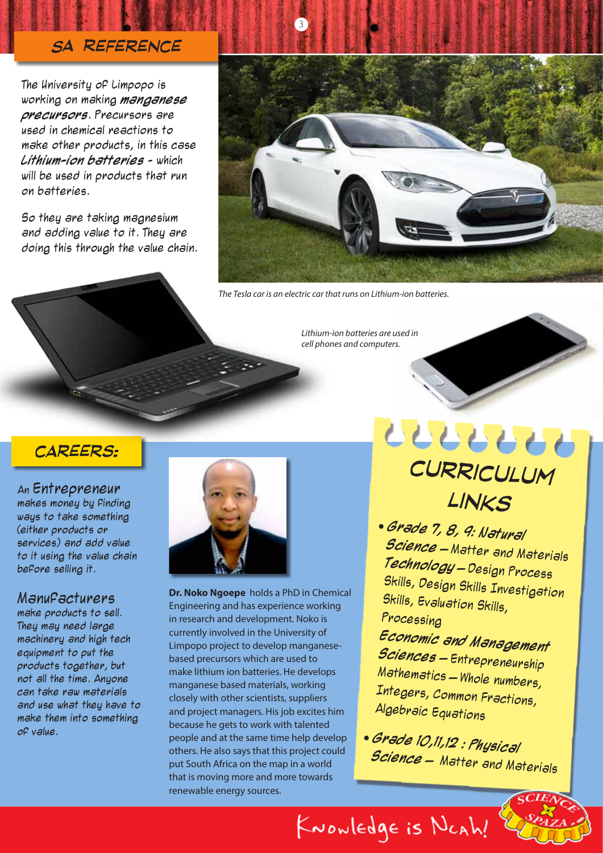## *SA Reference*

The University of Limpopo is working on making **manganese precursors**. Precursors are used in chemical reactions to make other products, in this case **Lithium-ion batteries** - which will be used in products that run on batteries.

So they are taking magnesium and adding value to it. They are doing this through the value chain.



*The Tesla car is an electric car that runs on Lithium-ion batteries.*

3

*Lithium-ion batteries are used in cell phones and computers.*

## *careers:*

An Entrepreneur

makes money by finding ways to take something (either products or services) and add value to it using the value chain before selling it.

#### **Manufacturers**

make products to sell. They may need large machinery and high tech equipment to put the products together, but not all the time. Anyone can take raw materials and use what they have to make them into something of value.



**Dr. Noko Ngoepe** holds a PhD in Chemical Engineering and has experience working in research and development. Noko is currently involved in the University of Limpopo project to develop manganesebased precursors which are used to make lithium ion batteries. He develops manganese based materials, working closely with other scientists, suppliers and project managers. His job excites him because he gets to work with talented people and at the same time help develop others. He also says that this project could put South Africa on the map in a world that is moving more and more towards renewable energy sources.

*curriculum links*

 **Grade 7, 8, 9: Natural Science** – Matter and Materials **Technology** – Design Process Skills, Design Skills Investigation Skills, Evaluation Skills, Processing

**Economic and Management Sciences** – Entrepreneurship Mathematics – Whole numbers, Integers, Common Fractions, Algebraic Equations

 **Grade 10,11,12 : Physical Science** – Matter and Materials

KNOWLEDge is NCAh!